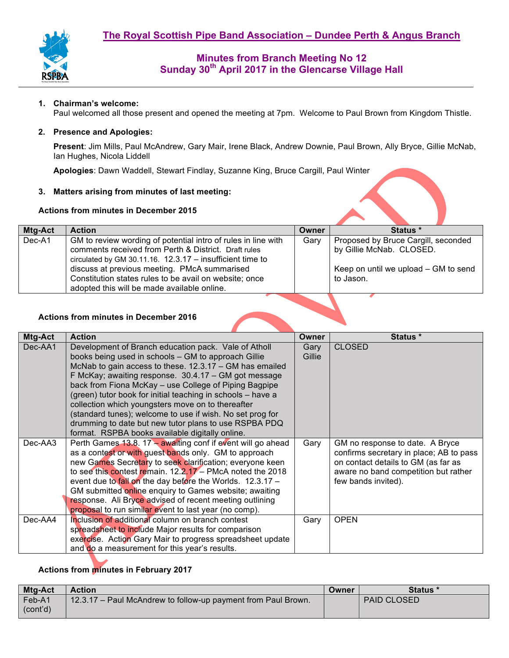

## **1. Chairman's welcome:**

Paul welcomed all those present and opened the meeting at 7pm. Welcome to Paul Brown from Kingdom Thistle.

### **2. Presence and Apologies:**

**Present**: Jim Mills, Paul McAndrew, Gary Mair, Irene Black, Andrew Downie, Paul Brown, Ally Bryce, Gillie McNab, Ian Hughes, Nicola Liddell

**Apologies**: Dawn Waddell, Stewart Findlay, Suzanne King, Bruce Cargill, Paul Winter

## **3. Matters arising from minutes of last meeting:**

### **Actions from minutes in December 2015**

| Mtg-Act | <b>Action</b>                                                                                                                                                                                                                        | Owner | Status *                                                                                                |
|---------|--------------------------------------------------------------------------------------------------------------------------------------------------------------------------------------------------------------------------------------|-------|---------------------------------------------------------------------------------------------------------|
| Dec-A1  | GM to review wording of potential intro of rules in line with<br>comments received from Perth & District. Draft rules<br>circulated by GM 30.11.16. $12.3.17 -$ insufficient time to<br>discuss at previous meeting. PMcA summarised | Gary  | Proposed by Bruce Cargill, seconded<br>by Gillie McNab. CLOSED.<br>Keep on until we upload – GM to send |
|         | Constitution states rules to be avail on website; once<br>adopted this will be made available online.                                                                                                                                |       | to Jason.                                                                                               |

## **Actions from minutes in December 2016**

| Mtg-Act | <b>Action</b>                                                                                                                                                                                                                                                                                                                                                                                                                                                                                                                                                                        | <b>Owner</b>   | <b>Status</b> *                                                                                                                                                                  |
|---------|--------------------------------------------------------------------------------------------------------------------------------------------------------------------------------------------------------------------------------------------------------------------------------------------------------------------------------------------------------------------------------------------------------------------------------------------------------------------------------------------------------------------------------------------------------------------------------------|----------------|----------------------------------------------------------------------------------------------------------------------------------------------------------------------------------|
| Dec-AA1 | Development of Branch education pack. Vale of Atholl<br>books being used in schools - GM to approach Gillie<br>McNab to gain access to these. 12.3.17 - GM has emailed<br>F McKay; awaiting response. 30.4.17 - GM got message<br>back from Fiona McKay - use College of Piping Bagpipe<br>(green) tutor book for initial teaching in schools - have a<br>collection which youngsters move on to thereafter<br>(standard tunes); welcome to use if wish. No set prog for<br>drumming to date but new tutor plans to use RSPBA PDQ<br>format. RSPBA books available digitally online. | Gary<br>Gillie | <b>CLOSED</b>                                                                                                                                                                    |
| Dec-AA3 | Perth Games $13.8$ . 17 – awaiting conf if event will go ahead<br>as a contest or with guest bands only. GM to approach<br>new Games Secretary to seek clarification; everyone keen<br>to see this contest remain. $12.2.17 - PMcA$ noted the 2018<br>event due to fall on the day before the Worlds. 12.3.17 -<br>GM submitted online enquiry to Games website; awaiting<br>response. Ali Bryce advised of recent meeting outlining<br>proposal to run similar event to last year (no comp).                                                                                        | Gary           | GM no response to date. A Bryce<br>confirms secretary in place; AB to pass<br>on contact details to GM (as far as<br>aware no band competition but rather<br>few bands invited). |
| Dec-AA4 | Inclusion of additional column on branch contest<br>spreadsheet to include Major results for comparison<br>exercise. Action Gary Mair to progress spreadsheet update<br>and do a measurement for this year's results.                                                                                                                                                                                                                                                                                                                                                                | Gary           | <b>OPEN</b>                                                                                                                                                                      |

## **Actions from minutes in February 2017**

| Mtg-Act  | <b>Action</b>                                                 | Owner | Status *           |
|----------|---------------------------------------------------------------|-------|--------------------|
| Feb-A1   | 12.3.17 - Paul McAndrew to follow-up payment from Paul Brown. |       | <b>PAID CLOSED</b> |
| (cont'd) |                                                               |       |                    |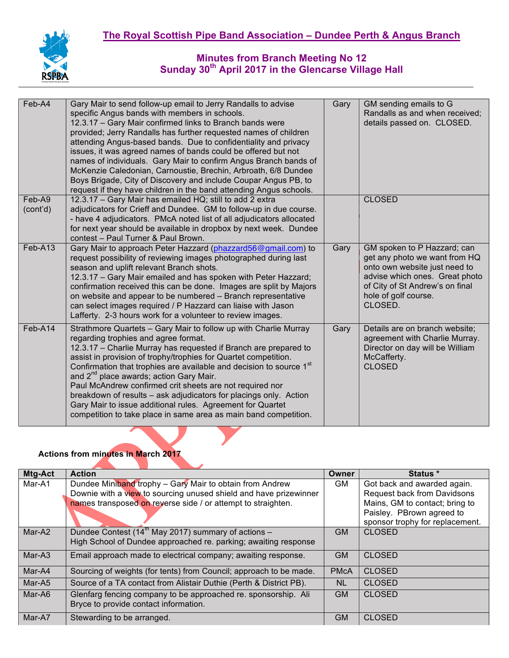

| Feb-A4             | Gary Mair to send follow-up email to Jerry Randalls to advise<br>specific Angus bands with members in schools.<br>12.3.17 - Gary Mair confirmed links to Branch bands were<br>provided; Jerry Randalls has further requested names of children<br>attending Angus-based bands. Due to confidentiality and privacy<br>issues, it was agreed names of bands could be offered but not                                                                                                                                                                                                                                                                           | Gary | GM sending emails to G<br>Randalls as and when received;<br>details passed on. CLOSED.                                                                                                                |
|--------------------|--------------------------------------------------------------------------------------------------------------------------------------------------------------------------------------------------------------------------------------------------------------------------------------------------------------------------------------------------------------------------------------------------------------------------------------------------------------------------------------------------------------------------------------------------------------------------------------------------------------------------------------------------------------|------|-------------------------------------------------------------------------------------------------------------------------------------------------------------------------------------------------------|
|                    | names of individuals. Gary Mair to confirm Angus Branch bands of<br>McKenzie Caledonian, Carnoustie, Brechin, Arbroath, 6/8 Dundee<br>Boys Brigade, City of Discovery and include Coupar Angus PB, to<br>request if they have children in the band attending Angus schools.                                                                                                                                                                                                                                                                                                                                                                                  |      |                                                                                                                                                                                                       |
| Feb-A9<br>(cont'd) | 12.3.17 - Gary Mair has emailed HQ; still to add 2 extra<br>adjudicators for Crieff and Dundee. GM to follow-up in due course.<br>- have 4 adjudicators. PMcA noted list of all adjudicators allocated<br>for next year should be available in dropbox by next week. Dundee<br>contest - Paul Turner & Paul Brown.                                                                                                                                                                                                                                                                                                                                           |      | <b>CLOSED</b>                                                                                                                                                                                         |
| $Feb-413$          | Gary Mair to approach Peter Hazzard (phazzard56@gmail.com) to<br>request possibility of reviewing images photographed during last<br>season and uplift relevant Branch shots.<br>12.3.17 - Gary Mair emailed and has spoken with Peter Hazzard;<br>confirmation received this can be done. Images are split by Majors<br>on website and appear to be numbered - Branch representative<br>can select images required / P Hazzard can liaise with Jason<br>Lafferty. 2-3 hours work for a volunteer to review images.                                                                                                                                          | Gary | GM spoken to P Hazzard; can<br>get any photo we want from HQ<br>onto own website just need to<br>advise which ones. Great photo<br>of City of St Andrew's on final<br>hole of golf course.<br>CLOSED. |
| Feb-A14            | Strathmore Quartets - Gary Mair to follow up with Charlie Murray<br>regarding trophies and agree format.<br>12.3.17 - Charlie Murray has requested if Branch are prepared to<br>assist in provision of trophy/trophies for Quartet competition.<br>Confirmation that trophies are available and decision to source 1 <sup>st</sup><br>and 2 <sup>nd</sup> place awards; action Gary Mair.<br>Paul McAndrew confirmed crit sheets are not required nor<br>breakdown of results - ask adjudicators for placings only. Action<br>Gary Mair to issue additional rules. Agreement for Quartet<br>competition to take place in same area as main band competition. | Gary | Details are on branch website;<br>agreement with Charlie Murray.<br>Director on day will be William<br>McCafferty.<br><b>CLOSED</b>                                                                   |

# **Actions from minutes in March 2017**

| Mtg-Act  | <b>Action</b>                                                      | Owner       | Status *                           |
|----------|--------------------------------------------------------------------|-------------|------------------------------------|
| Mar-A1   | Dundee Miniband trophy - Gary Mair to obtain from Andrew           | GM.         | Got back and awarded again.        |
|          | Downie with a view to sourcing unused shield and have prizewinner  |             | <b>Request back from Davidsons</b> |
|          | names transposed on reverse side / or attempt to straighten.       |             | Mains, GM to contact; bring to     |
|          |                                                                    |             | Paisley. PBrown agreed to          |
|          |                                                                    |             | sponsor trophy for replacement.    |
| Mar-A2   | Dundee Contest (14 <sup>th</sup> May 2017) summary of actions -    | <b>GM</b>   | <b>CLOSED</b>                      |
|          | High School of Dundee approached re. parking; awaiting response    |             |                                    |
| $Mar-A3$ | Email approach made to electrical company; awaiting response.      | <b>GM</b>   | <b>CLOSED</b>                      |
| Mar-A4   | Sourcing of weights (for tents) from Council; approach to be made. | <b>PMcA</b> | <b>CLOSED</b>                      |
| Mar-A5   | Source of a TA contact from Alistair Duthie (Perth & District PB). | <b>NL</b>   | <b>CLOSED</b>                      |
| Mar-A6   | Glenfarg fencing company to be approached re. sponsorship. Ali     | <b>GM</b>   | <b>CLOSED</b>                      |
|          | Bryce to provide contact information.                              |             |                                    |
| Mar-A7   | Stewarding to be arranged.                                         | <b>GM</b>   | <b>CLOSED</b>                      |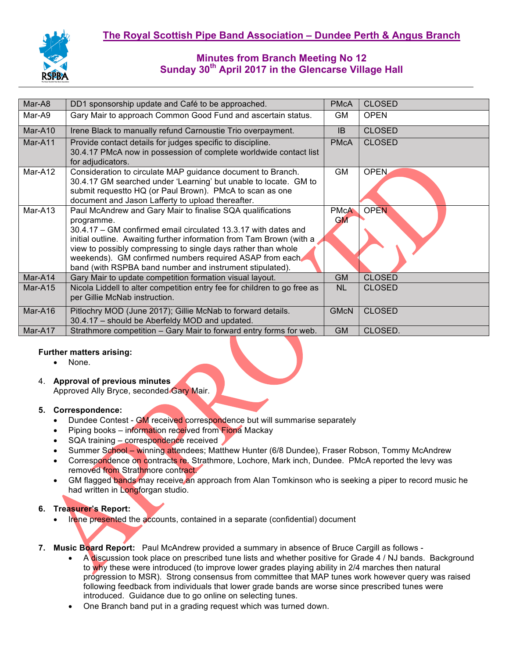

| Mar-A8  | DD1 sponsorship update and Café to be approached.                                                                                                                                                                                                                                                                                                                                                          | <b>PMcA</b>              | <b>CLOSED</b> |
|---------|------------------------------------------------------------------------------------------------------------------------------------------------------------------------------------------------------------------------------------------------------------------------------------------------------------------------------------------------------------------------------------------------------------|--------------------------|---------------|
| Mar-A9  | Gary Mair to approach Common Good Fund and ascertain status.                                                                                                                                                                                                                                                                                                                                               | GM                       | <b>OPEN</b>   |
| Mar-A10 | Irene Black to manually refund Carnoustie Trio overpayment.                                                                                                                                                                                                                                                                                                                                                | <b>IB</b>                | <b>CLOSED</b> |
| Mar-A11 | Provide contact details for judges specific to discipline.<br>30.4.17 PMcA now in possession of complete worldwide contact list<br>for adjudicators.                                                                                                                                                                                                                                                       | <b>PMcA</b>              | <b>CLOSED</b> |
| Mar-A12 | Consideration to circulate MAP guidance document to Branch.<br>30.4.17 GM searched under 'Learning' but unable to locate. GM to<br>submit request to HQ (or Paul Brown). PMcA to scan as one<br>document and Jason Lafferty to upload thereafter.                                                                                                                                                          | GM                       | <b>OPEN</b>   |
| Mar-A13 | Paul McAndrew and Gary Mair to finalise SQA qualifications<br>programme.<br>30.4.17 – GM confirmed email circulated 13.3.17 with dates and<br>initial outline. Awaiting further information from Tam Brown (with a<br>view to possibly compressing to single days rather than whole<br>weekends). GM confirmed numbers required ASAP from each<br>band (with RSPBA band number and instrument stipulated). | <b>PMcA</b><br><b>GM</b> | <b>OPEN</b>   |
| Mar-A14 | Gary Mair to update competition formation visual layout.                                                                                                                                                                                                                                                                                                                                                   | <b>GM</b>                | <b>CLOSED</b> |
| Mar-A15 | Nicola Liddell to alter competition entry fee for children to go free as<br>per Gillie McNab instruction.                                                                                                                                                                                                                                                                                                  | <b>NL</b>                | <b>CLOSED</b> |
| Mar-A16 | Pitlochry MOD (June 2017); Gillie McNab to forward details.<br>30.4.17 - should be Aberfeldy MOD and updated.                                                                                                                                                                                                                                                                                              | <b>GMcN</b>              | <b>CLOSED</b> |
| Mar-A17 | Strathmore competition - Gary Mair to forward entry forms for web.                                                                                                                                                                                                                                                                                                                                         | <b>GM</b>                | CLOSED.       |

## **Further matters arising:**

- None.
- 4. **Approval of previous minutes**

Approved Ally Bryce, seconded Gary Mair.

## **5. Correspondence:**

- Dundee Contest GM received correspondence but will summarise separately
- Piping books information received from Fiona Mackay
- SQA training correspondence received
- Summer School winning attendees; Matthew Hunter (6/8 Dundee), Fraser Robson, Tommy McAndrew
- Correspondence on contracts re. Strathmore, Lochore, Mark inch, Dundee. PMcA reported the levy was removed from Strathmore contract.
- GM flagged bands may receive an approach from Alan Tomkinson who is seeking a piper to record music he had written in Longforgan studio.

## **6. Treasurer's Report:**

- Irene presented the accounts, contained in a separate (confidential) document
- **7. Music Board Report:** Paul McAndrew provided a summary in absence of Bruce Cargill as follows
	- A discussion took place on prescribed tune lists and whether positive for Grade 4 / NJ bands. Background to why these were introduced (to improve lower grades playing ability in 2/4 marches then natural progression to MSR). Strong consensus from committee that MAP tunes work however query was raised following feedback from individuals that lower grade bands are worse since prescribed tunes were introduced. Guidance due to go online on selecting tunes.
	- One Branch band put in a grading request which was turned down.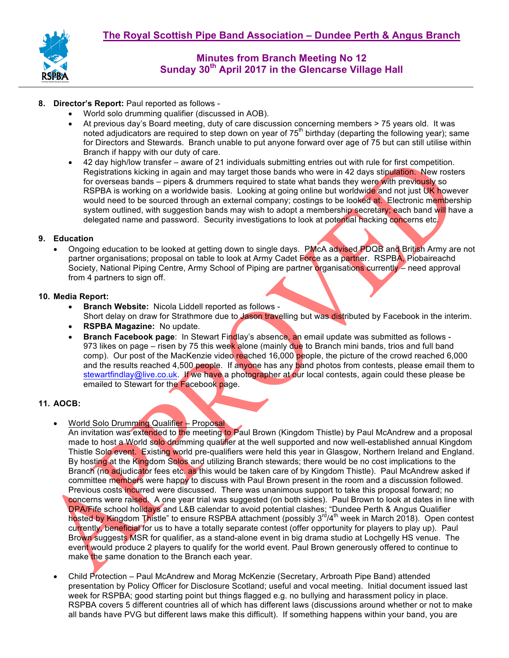

- **8. Director's Report:** Paul reported as follows
	- World solo drumming qualifier (discussed in AOB).
	- At previous day's Board meeting, duty of care discussion concerning members > 75 years old. It was noted adjudicators are required to step down on year of  $75<sup>th</sup>$  birthday (departing the following year); same for Directors and Stewards. Branch unable to put anyone forward over age of 75 but can still utilise within Branch if happy with our duty of care.
	- 42 day high/low transfer aware of 21 individuals submitting entries out with rule for first competition. Registrations kicking in again and may target those bands who were in 42 days stipulation. New rosters for overseas bands – pipers & drummers required to state what bands they were with previously so RSPBA is working on a worldwide basis. Looking at going online but worldwide and not just UK however would need to be sourced through an external company; costings to be looked at. Electronic membership system outlined, with suggestion bands may wish to adopt a membership secretary; each band will have a delegated name and password. Security investigations to look at potential hacking concerns etc.

### **9. Education**

Ongoing education to be looked at getting down to single days. PMcA advised PDQB and British Army are not partner organisations; proposal on table to look at Army Cadet Force as a partner. RSPBA, Piobaireachd Society, National Piping Centre, Army School of Piping are partner organisations currently – need approval from 4 partners to sign off.

### **10. Media Report:**

- **Branch Website:** Nicola Liddell reported as follows Short delay on draw for Strathmore due to Jason travelling but was distributed by Facebook in the interim.
- **RSPBA Magazine:** No update.
- **Branch Facebook page**: In Stewart Findlay's absence, an email update was submitted as follows 973 likes on page – risen by 75 this week alone (mainly due to Branch mini bands, trios and full band comp). Our post of the MacKenzie video reached 16,000 people, the picture of the crowd reached 6,000 and the results reached 4,500 people. If anyone has any band photos from contests, please email them to stewartfindlay@live.co.uk. If we have a photographer at our local contests, again could these please be emailed to Stewart for the Facebook page.

### **11. AOCB:**

- World Solo Drumming Qualifier Proposal
	- An invitation was extended to the meeting to Paul Brown (Kingdom Thistle) by Paul McAndrew and a proposal made to host a World solo drumming qualifier at the well supported and now well-established annual Kingdom Thistle Solo event. Existing world pre-qualifiers were held this year in Glasgow, Northern Ireland and England. By hosting at the Kingdom Solos and utilizing Branch stewards; there would be no cost implications to the Branch (no adjudicator fees etc. as this would be taken care of by Kingdom Thistle). Paul McAndrew asked if committee members were happy to discuss with Paul Brown present in the room and a discussion followed. Previous costs incurred were discussed. There was unanimous support to take this proposal forward; no concerns were raised. A one year trial was suggested (on both sides). Paul Brown to look at dates in line with DPA/Fife school holidays and L&B calendar to avoid potential clashes; "Dundee Perth & Angus Qualifier hosted by Kingdom Thistle" to ensure RSPBA attachment (possibly 3<sup>rd</sup>/4<sup>th</sup> week in March 2018). Open contest currently, beneficial for us to have a totally separate contest (offer opportunity for players to play up). Paul Brown suggests MSR for qualifier, as a stand-alone event in big drama studio at Lochgelly HS venue. The event would produce 2 players to qualify for the world event. Paul Brown generously offered to continue to make the same donation to the Branch each year.
- Child Protection Paul McAndrew and Morag McKenzie (Secretary, Arbroath Pipe Band) attended presentation by Policy Officer for Disclosure Scotland; useful and vocal meeting. Initial document issued last week for RSPBA; good starting point but things flagged e.g. no bullying and harassment policy in place. RSPBA covers 5 different countries all of which has different laws (discussions around whether or not to make all bands have PVG but different laws make this difficult). If something happens within your band, you are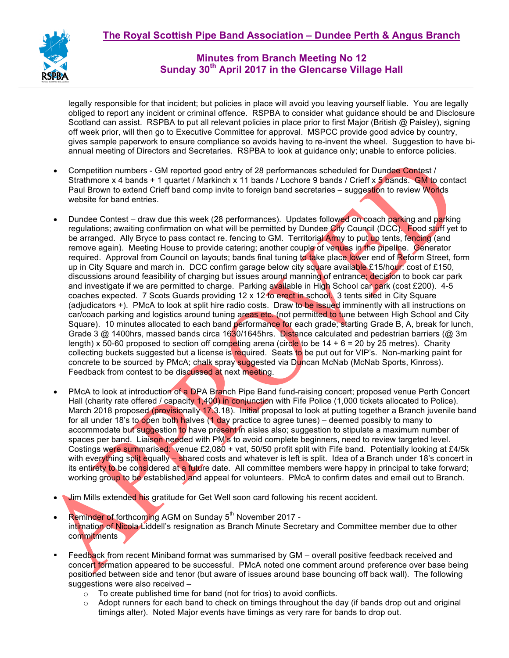

legally responsible for that incident; but policies in place will avoid you leaving yourself liable. You are legally obliged to report any incident or criminal offence. RSPBA to consider what guidance should be and Disclosure Scotland can assist. RSPBA to put all relevant policies in place prior to first Major (British @ Paisley), signing off week prior, will then go to Executive Committee for approval. MSPCC provide good advice by country, gives sample paperwork to ensure compliance so avoids having to re-invent the wheel. Suggestion to have biannual meeting of Directors and Secretaries. RSPBA to look at guidance only; unable to enforce policies.

- Competition numbers GM reported good entry of 28 performances scheduled for Dundee Contest / Strathmore x 4 bands + 1 quartet / Markinch x 11 bands / Lochore 9 bands / Crieff x 5 bands. GM to contact Paul Brown to extend Crieff band comp invite to foreign band secretaries – suggestion to review Worlds website for band entries.
- Dundee Contest draw due this week (28 performances). Updates followed on coach parking and parking regulations; awaiting confirmation on what will be permitted by Dundee City Council (DCC). Food stuff yet to be arranged. Ally Bryce to pass contact re. fencing to GM. Territorial Army to put up tents, fencing (and remove again). Meeting House to provide catering; another couple of venues in the pipeline. Generator required. Approval from Council on layouts; bands final tuning to take place lower end of Reform Street, form up in City Square and march in. DCC confirm garage below city square available £15/hour: cost of £150, discussions around feasibility of charging but issues around manning of entrance; decision to book car park and investigate if we are permitted to charge. Parking available in High School car park (cost £200). 4-5 coaches expected. 7 Scots Guards providing 12 x 12 to erect in school. 3 tents sited in City Square (adjudicators +). PMcA to look at split hire radio costs. Draw to be issued imminently with all instructions on car/coach parking and logistics around tuning areas etc. (not permitted to tune between High School and City Square). 10 minutes allocated to each band performance for each grade; starting Grade B, A, break for lunch, Grade 3 @ 1400hrs, massed bands circa 1630/1645hrs. Distance calculated and pedestrian barriers (@ 3m length) x 50-60 proposed to section off competing arena (circle to be  $14 + 6 = 20$  by 25 metres). Charity collecting buckets suggested but a license is required. Seats to be put out for VIP's. Non-marking paint for concrete to be sourced by PMcA; chalk spray suggested via Duncan McNab (McNab Sports, Kinross). Feedback from contest to be discussed at next meeting.
- PMcA to look at introduction of a DPA Branch Pipe Band fund-raising concert; proposed venue Perth Concert Hall (charity rate offered / capacity 1,400) in conjunction with Fife Police (1,000 tickets allocated to Police). March 2018 proposed (provisionally 17.3.18). Initial proposal to look at putting together a Branch juvenile band for all under 18's to open both halves (1 day practice to agree tunes) – deemed possibly to many to accommodate but suggestion to have present in aisles also; suggestion to stipulate a maximum number of spaces per band. Liaison needed with PM's to avoid complete beginners, need to review targeted level. Costings were summarised: venue £2,080 + vat, 50/50 profit split with Fife band. Potentially looking at £4/5k with everything split equally – shared costs and whatever is left is split. Idea of a Branch under 18's concert in its entirety to be considered at a future date. All committee members were happy in principal to take forward; working group to be established and appeal for volunteers. PMcA to confirm dates and email out to Branch.
- Jim Mills extended his gratitude for Get Well soon card following his recent accident.
- Reminder of forthcoming AGM on Sunday 5<sup>th</sup> November 2017 intimation of Nicola Liddell's resignation as Branch Minute Secretary and Committee member due to other **commitments**
- Feedback from recent Miniband format was summarised by GM overall positive feedback received and concert formation appeared to be successful. PMcA noted one comment around preference over base being positioned between side and tenor (but aware of issues around base bouncing off back wall). The following suggestions were also received –
	- o To create published time for band (not for trios) to avoid conflicts.
	- $\circ$  Adopt runners for each band to check on timings throughout the day (if bands drop out and original timings alter). Noted Major events have timings as very rare for bands to drop out.